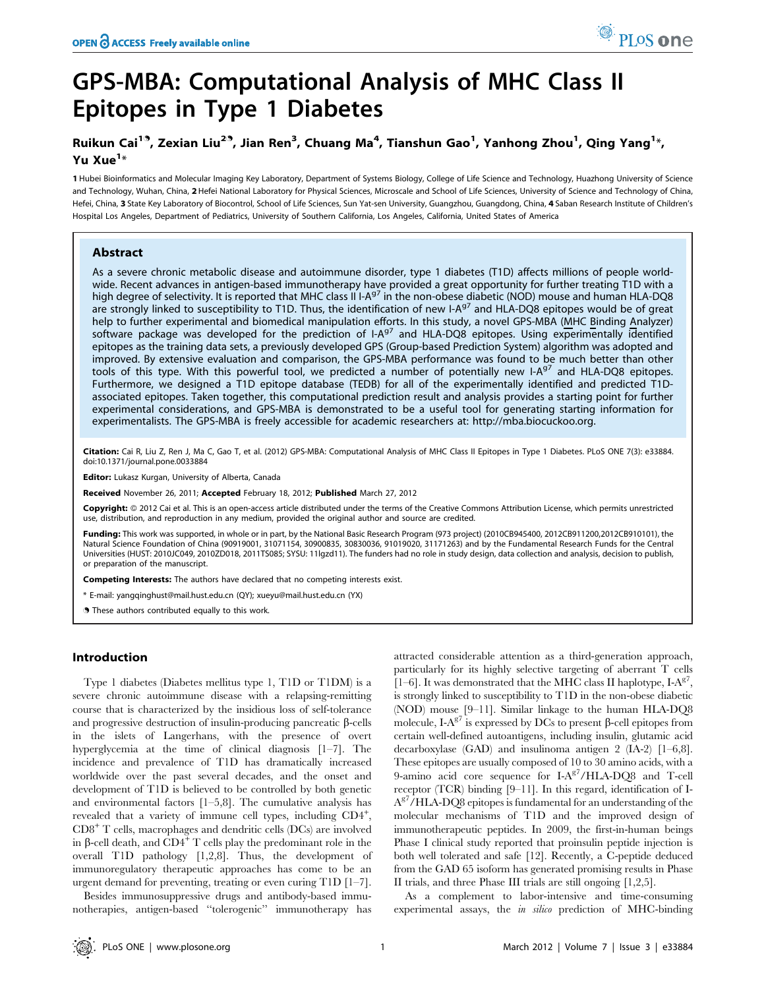# GPS-MBA: Computational Analysis of MHC Class II Epitopes in Type 1 Diabetes

## Ruikun Cai<sup>19</sup>, Zexian Liu<sup>29</sup>, Jian Ren<sup>3</sup>, Chuang Ma<sup>4</sup>, Tianshun Gao<sup>1</sup>, Yanhong Zhou<sup>1</sup>, Qing Yang<sup>1</sup>\*, Yu Xue<sup>1</sup>\*

1 Hubei Bioinformatics and Molecular Imaging Key Laboratory, Department of Systems Biology, College of Life Science and Technology, Huazhong University of Science and Technology, Wuhan, China, 2 Hefei National Laboratory for Physical Sciences, Microscale and School of Life Sciences, University of Science and Technology of China, Hefei, China, 3 State Key Laboratory of Biocontrol, School of Life Sciences, Sun Yat-sen University, Guangzhou, Guangdong, China, 4 Saban Research Institute of Children's Hospital Los Angeles, Department of Pediatrics, University of Southern California, Los Angeles, California, United States of America

## Abstract

As a severe chronic metabolic disease and autoimmune disorder, type 1 diabetes (T1D) affects millions of people worldwide. Recent advances in antigen-based immunotherapy have provided a great opportunity for further treating T1D with a high degree of selectivity. It is reported that MHC class II I-A<sup>g7</sup> in the non-obese diabetic (NOD) mouse and human HLA-DQ8 are strongly linked to susceptibility to T1D. Thus, the identification of new I-A<sup>g7</sup> and HLA-DQ8 epitopes would be of great help to further experimental and biomedical manipulation efforts. In this study, a novel GPS-MBA (MHC Binding Analyzer) software package was developed for the prediction of I-A<sup>g7</sup> and HLA-DQ8 epitopes. Using experimentally identified epitopes as the training data sets, a previously developed GPS (Group-based Prediction System) algorithm was adopted and improved. By extensive evaluation and comparison, the GPS-MBA performance was found to be much better than other tools of this type. With this powerful tool, we predicted a number of potentially new I-A $97$  and HLA-DQ8 epitopes. Furthermore, we designed a T1D epitope database (TEDB) for all of the experimentally identified and predicted T1Dassociated epitopes. Taken together, this computational prediction result and analysis provides a starting point for further experimental considerations, and GPS-MBA is demonstrated to be a useful tool for generating starting information for experimentalists. The GPS-MBA is freely accessible for academic researchers at: http://mba.biocuckoo.org.

Citation: Cai R, Liu Z, Ren J, Ma C, Gao T, et al. (2012) GPS-MBA: Computational Analysis of MHC Class II Epitopes in Type 1 Diabetes. PLoS ONE 7(3): e33884. doi:10.1371/journal.pone.0033884

Editor: Lukasz Kurgan, University of Alberta, Canada

Received November 26, 2011; Accepted February 18, 2012; Published March 27, 2012

Copyright: © 2012 Cai et al. This is an open-access article distributed under the terms of the Creative Commons Attribution License, which permits unrestricted use, distribution, and reproduction in any medium, provided the original author and source are credited.

Funding: This work was supported, in whole or in part, by the National Basic Research Program (973 project) (2010CB945400, 2012CB911200,2012CB910101), the Natural Science Foundation of China (90919001, 31071154, 30900835, 30830036, 91019020, 31171263) and by the Fundamental Research Funds for the Central Universities (HUST: 2010JC049, 2010ZD018, 2011TS085; SYSU: 11lgzd11). The funders had no role in study design, data collection and analysis, decision to publish, or preparation of the manuscript.

Competing Interests: The authors have declared that no competing interests exist.

\* E-mail: yangqinghust@mail.hust.edu.cn (QY); xueyu@mail.hust.edu.cn (YX)

**.** These authors contributed equally to this work.

## Introduction

Type 1 diabetes (Diabetes mellitus type 1, T1D or T1DM) is a severe chronic autoimmune disease with a relapsing-remitting course that is characterized by the insidious loss of self-tolerance and progressive destruction of insulin-producing pancreatic  $\beta$ -cells in the islets of Langerhans, with the presence of overt hyperglycemia at the time of clinical diagnosis [1–7]. The incidence and prevalence of T1D has dramatically increased worldwide over the past several decades, and the onset and development of T1D is believed to be controlled by both genetic and environmental factors  $[1-5,8]$ . The cumulative analysis has revealed that a variety of immune cell types, including CD4<sup>+</sup>, CD8<sup>+</sup> T cells, macrophages and dendritic cells (DCs) are involved in  $\beta$ -cell death, and CD4<sup>+</sup> T cells play the predominant role in the overall T1D pathology [1,2,8]. Thus, the development of immunoregulatory therapeutic approaches has come to be an urgent demand for preventing, treating or even curing T1D [1–7].

Besides immunosuppressive drugs and antibody-based immunotherapies, antigen-based ''tolerogenic'' immunotherapy has

attracted considerable attention as a third-generation approach, particularly for its highly selective targeting of aberrant T cells [1–6]. It was demonstrated that the MHC class II haplotype,  $I-A^{g'}$ , is strongly linked to susceptibility to T1D in the non-obese diabetic (NOD) mouse [9–11]. Similar linkage to the human HLA-DQ8 molecule,  $\text{I-}A^{g7}$  is expressed by DCs to present  $\beta\text{-cell}$  epitopes from certain well-defined autoantigens, including insulin, glutamic acid decarboxylase (GAD) and insulinoma antigen 2 (IA-2) [1–6,8]. These epitopes are usually composed of 10 to 30 amino acids, with a 9-amino acid core sequence for  $I-A^{g7}/HIA-DQ8$  and T-cell receptor (TCR) binding [9–11]. In this regard, identification of I- $A<sup>g</sup>$ /HLA-DQ8 epitopes is fundamental for an understanding of the molecular mechanisms of T1D and the improved design of immunotherapeutic peptides. In 2009, the first-in-human beings Phase I clinical study reported that proinsulin peptide injection is both well tolerated and safe [12]. Recently, a C-peptide deduced from the GAD 65 isoform has generated promising results in Phase II trials, and three Phase III trials are still ongoing [1,2,5].

As a complement to labor-intensive and time-consuming experimental assays, the in silico prediction of MHC-binding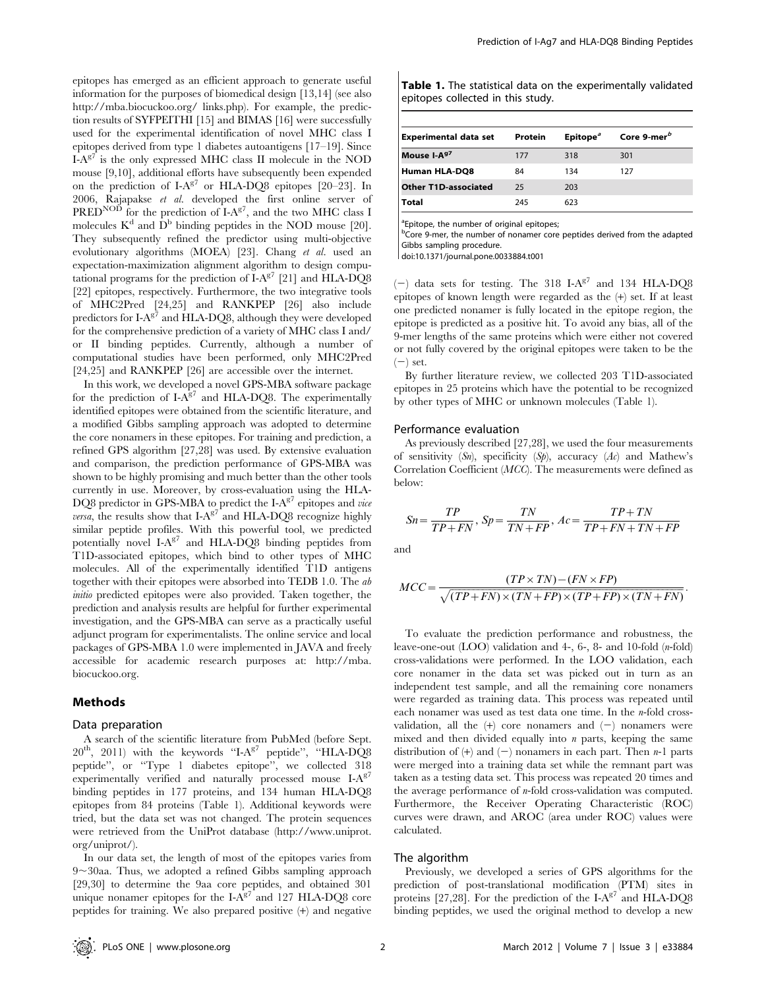epitopes has emerged as an efficient approach to generate useful information for the purposes of biomedical design [13,14] (see also http://mba.biocuckoo.org/ links.php). For example, the prediction results of SYFPEITHI [15] and BIMAS [16] were successfully used for the experimental identification of novel MHC class I epitopes derived from type 1 diabetes autoantigens [17–19]. Since  $I-A^{g7}$  is the only expressed MHC class II molecule in the NOD mouse [9,10], additional efforts have subsequently been expended on the prediction of  $I-A^{g7}$  or HLA-DQ8 epitopes [20–23]. In 2006, Rajapakse et al. developed the first online server of PRED<sup>NOD</sup> for the prediction of  $I-A^{g7}$ , and the two MHC class I molecules  $K^d$  and  $\dot{D}^b$  binding peptides in the NOD mouse [20]. They subsequently refined the predictor using multi-objective evolutionary algorithms (MOEA) [23]. Chang et al. used an expectation-maximization alignment algorithm to design computational programs for the prediction of  $I-A^{g7}$  [21] and  $HLA-DQ8$ [22] epitopes, respectively. Furthermore, the two integrative tools of MHC2Pred [24,25] and RANKPEP [26] also include predictors for  $I-A^{g7}$  and HLA-DQ8, although they were developed for the comprehensive prediction of a variety of MHC class I and/ or II binding peptides. Currently, although a number of computational studies have been performed, only MHC2Pred [24,25] and RANKPEP [26] are accessible over the internet.

In this work, we developed a novel GPS-MBA software package for the prediction of  $I-A^{g7}$  and HLA-DQ8. The experimentally identified epitopes were obtained from the scientific literature, and a modified Gibbs sampling approach was adopted to determine the core nonamers in these epitopes. For training and prediction, a refined GPS algorithm [27,28] was used. By extensive evaluation and comparison, the prediction performance of GPS-MBA was shown to be highly promising and much better than the other tools currently in use. Moreover, by cross-evaluation using the HLA-DQ8 predictor in GPS-MBA to predict the  $I-A<sup>g7</sup>$  epitopes and vice *versa*, the results show that  $I-A<sup>g7</sup>$  and HLA-DQ8 recognize highly similar peptide profiles. With this powerful tool, we predicted potentially novel  $I-A^{g7}$  and  $HLA-DQ8$  binding peptides from T1D-associated epitopes, which bind to other types of MHC molecules. All of the experimentally identified T1D antigens together with their epitopes were absorbed into TEDB 1.0. The ab initio predicted epitopes were also provided. Taken together, the prediction and analysis results are helpful for further experimental investigation, and the GPS-MBA can serve as a practically useful adjunct program for experimentalists. The online service and local packages of GPS-MBA 1.0 were implemented in JAVA and freely accessible for academic research purposes at: http://mba. biocuckoo.org.

## Methods

#### Data preparation

A search of the scientific literature from PubMed (before Sept.  $20^{th}$ ,  $2011$ ) with the keywords "I-A $^{g7}$  peptide", "HLA-DQ8 peptide'', or ''Type 1 diabetes epitope'', we collected 318 experimentally verified and naturally processed mouse  $I-A^{g7}$ binding peptides in 177 proteins, and 134 human HLA-DQ8 epitopes from 84 proteins (Table 1). Additional keywords were tried, but the data set was not changed. The protein sequences were retrieved from the UniProt database (http://www.uniprot. org/uniprot/).

In our data set, the length of most of the epitopes varies from  $9 \sim 30$ aa. Thus, we adopted a refined Gibbs sampling approach [29,30] to determine the 9aa core peptides, and obtained 301 unique nonamer epitopes for the I- $A^{g7}$  and 127 HLA-DQ8 core peptides for training. We also prepared positive (+) and negative

| Table 1. The statistical data on the experimentally validated |  |  |  |  |  |
|---------------------------------------------------------------|--|--|--|--|--|
| epitopes collected in this study.                             |  |  |  |  |  |

| Experimental data set       | Protein | Epitope <sup><math>a</math></sup> | Core 9-mer <sup>b</sup> |  |
|-----------------------------|---------|-----------------------------------|-------------------------|--|
| Mouse I-A <sup>97</sup>     | 177     | 318                               | 301                     |  |
| Human HLA-DQ8               | 84      | 134                               | 127                     |  |
| <b>Other T1D-associated</b> | 25      | 203                               |                         |  |
| Total                       | 245     | 623                               |                         |  |
|                             |         |                                   |                         |  |

<sup>a</sup>Epitope, the number of original epitopes;

<sup>b</sup>Core 9-mer, the number of nonamer core peptides derived from the adapted Gibbs sampling procedure.

doi:10.1371/journal.pone.0033884.t001

(-) data sets for testing. The 318 I-A<sup>g7</sup> and 134 HLA-DQ8 epitopes of known length were regarded as the (+) set. If at least one predicted nonamer is fully located in the epitope region, the epitope is predicted as a positive hit. To avoid any bias, all of the 9-mer lengths of the same proteins which were either not covered or not fully covered by the original epitopes were taken to be the  $(-)$  set.

By further literature review, we collected 203 T1D-associated epitopes in 25 proteins which have the potential to be recognized by other types of MHC or unknown molecules (Table 1).

#### Performance evaluation

As previously described [27,28], we used the four measurements of sensitivity  $(Sn)$ , specificity  $(Sp)$ , accuracy  $(Ac)$  and Mathew's Correlation Coefficient (MCC). The measurements were defined as below:

$$
Sn = \frac{TP}{TP + FN}, \, Sp = \frac{TN}{TN + FP}, \, Ac = \frac{TP + TN}{TP + FN + TN + FP}
$$

and

$$
MCC = \frac{(TP \times TN) - (FN \times FP)}{\sqrt{(TP + FN) \times (TN + FP) \times (TP + FP) \times (TN + FN)}}
$$

To evaluate the prediction performance and robustness, the leave-one-out (LOO) validation and 4-, 6-, 8- and 10-fold (n-fold) cross-validations were performed. In the LOO validation, each core nonamer in the data set was picked out in turn as an independent test sample, and all the remaining core nonamers were regarded as training data. This process was repeated until each nonamer was used as test data one time. In the *n*-fold crossvalidation, all the  $(+)$  core nonamers and  $(-)$  nonamers were mixed and then divided equally into  $n$  parts, keeping the same distribution of  $(+)$  and  $(-)$  nonamers in each part. Then n-1 parts were merged into a training data set while the remnant part was taken as a testing data set. This process was repeated 20 times and the average performance of  $n$ -fold cross-validation was computed. Furthermore, the Receiver Operating Characteristic (ROC) curves were drawn, and AROC (area under ROC) values were calculated.

## The algorithm

Previously, we developed a series of GPS algorithms for the prediction of post-translational modification (PTM) sites in proteins [27,28]. For the prediction of the I- $A<sup>g</sup>$  and HLA-DQ8 binding peptides, we used the original method to develop a new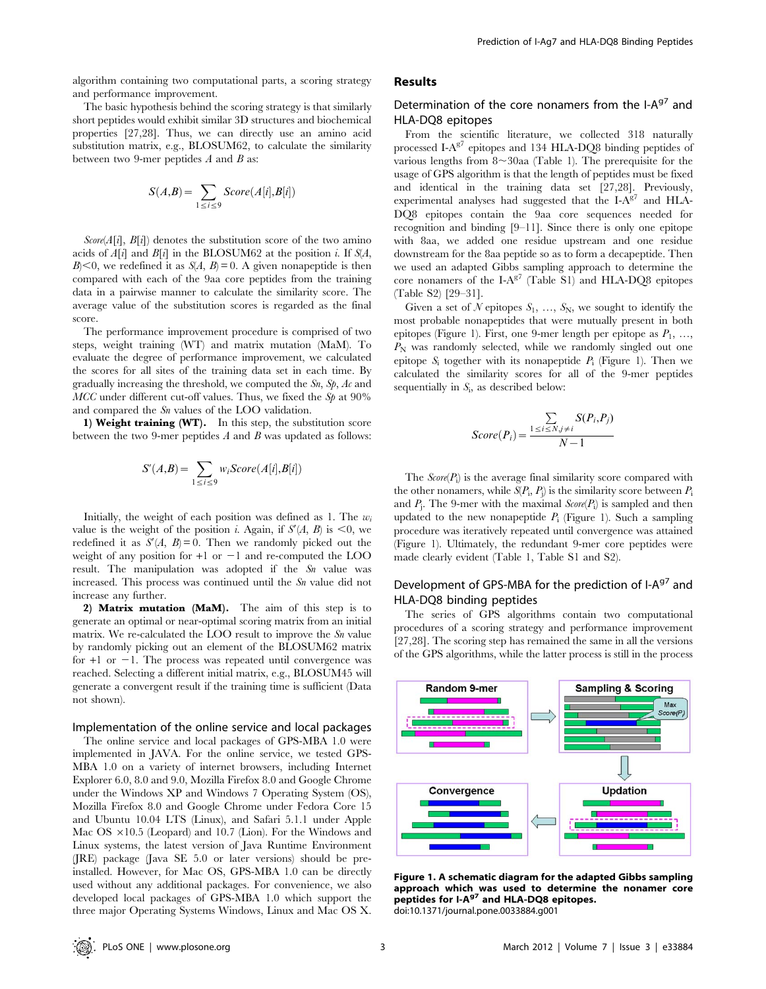algorithm containing two computational parts, a scoring strategy and performance improvement.

The basic hypothesis behind the scoring strategy is that similarly short peptides would exhibit similar 3D structures and biochemical properties [27,28]. Thus, we can directly use an amino acid substitution matrix, e.g., BLOSUM62, to calculate the similarity between two 9-mer peptides  $A$  and  $B$  as:

$$
S(A,B) = \sum_{1 \le i \le 9} Score(A[i], B[i])
$$

 $Score(A[i], B[i])$  denotes the substitution score of the two amino acids of  $A[i]$  and  $B[i]$  in the BLOSUM62 at the position *i*. If  $S(A)$ ,  $B \leq 0$ , we redefined it as  $S(A, B) = 0$ . A given nonapeptide is then compared with each of the 9aa core peptides from the training data in a pairwise manner to calculate the similarity score. The average value of the substitution scores is regarded as the final score.

The performance improvement procedure is comprised of two steps, weight training (WT) and matrix mutation (MaM). To evaluate the degree of performance improvement, we calculated the scores for all sites of the training data set in each time. By gradually increasing the threshold, we computed the Sn, Sp, Ac and  $MCC$  under different cut-off values. Thus, we fixed the  $Sp$  at  $90\%$ and compared the Sn values of the LOO validation.

1) Weight training (WT). In this step, the substitution score between the two 9-mer peptides  $A$  and  $B$  was updated as follows:

$$
S'(A,B) = \sum_{1 \le i \le 9} w_i Score(A[i], B[i])
$$

Initially, the weight of each position was defined as 1. The  $w_i$ value is the weight of the position *i*. Again, if  $S'(A, B)$  is <0, we redefined it as  $S'(A, B) = 0$ . Then we randomly picked out the weight of any position for  $+1$  or  $-1$  and re-computed the LOO result. The manipulation was adopted if the  $Sn$  value was increased. This process was continued until the S<sub>n</sub> value did not increase any further.

2) Matrix mutation (MaM). The aim of this step is to generate an optimal or near-optimal scoring matrix from an initial matrix. We re-calculated the LOO result to improve the  $Sn$  value by randomly picking out an element of the BLOSUM62 matrix for  $+1$  or  $-1$ . The process was repeated until convergence was reached. Selecting a different initial matrix, e.g., BLOSUM45 will generate a convergent result if the training time is sufficient (Data not shown).

### Implementation of the online service and local packages

The online service and local packages of GPS-MBA 1.0 were implemented in JAVA. For the online service, we tested GPS-MBA 1.0 on a variety of internet browsers, including Internet Explorer 6.0, 8.0 and 9.0, Mozilla Firefox 8.0 and Google Chrome under the Windows XP and Windows 7 Operating System (OS), Mozilla Firefox 8.0 and Google Chrome under Fedora Core 15 and Ubuntu 10.04 LTS (Linux), and Safari 5.1.1 under Apple Mac OS  $\times$ 10.5 (Leopard) and 10.7 (Lion). For the Windows and Linux systems, the latest version of Java Runtime Environment (JRE) package (Java SE 5.0 or later versions) should be preinstalled. However, for Mac OS, GPS-MBA 1.0 can be directly used without any additional packages. For convenience, we also developed local packages of GPS-MBA 1.0 which support the three major Operating Systems Windows, Linux and Mac OS X.

## Results

## Determination of the core nonamers from the I-A<sup>g7</sup> and HLA-DQ8 epitopes

From the scientific literature, we collected 318 naturally processed I-A<sup>g7</sup> epitopes and 134 HLA-DQ8 binding peptides of various lengths from  $8 \sim 30$ aa (Table 1). The prerequisite for the usage of GPS algorithm is that the length of peptides must be fixed and identical in the training data set [27,28]. Previously, experimental analyses had suggested that the  $I-A^{g7}$  and  $HLA-$ DQ8 epitopes contain the 9aa core sequences needed for recognition and binding [9–11]. Since there is only one epitope with 8aa, we added one residue upstream and one residue downstream for the 8aa peptide so as to form a decapeptide. Then we used an adapted Gibbs sampling approach to determine the core nonamers of the I-A $^{g7}$  (Table S1) and HLA-DQ8 epitopes (Table S2) [29–31].

Given a set of N epitopes  $S_1, \ldots, S_N$ , we sought to identify the most probable nonapeptides that were mutually present in both epitopes (Figure 1). First, one 9-mer length per epitope as  $P_1, \ldots,$  $P_N$  was randomly selected, while we randomly singled out one epitope  $S_i$  together with its nonapeptide  $P_i$  (Figure 1). Then we calculated the similarity scores for all of the 9-mer peptides sequentially in  $S_i$ , as described below:

$$
Score(P_i) = \frac{\sum\limits_{1 \le i \le N, j \ne i} S(P_i, P_j)}{N - 1}
$$

The  $Score(P_i)$  is the average final similarity score compared with the other nonamers, while  $S(P_i, P_j)$  is the similarity score between  $P_i$ and  $P_j$ . The 9-mer with the maximal  $Score(P_i)$  is sampled and then updated to the new nonapeptide  $P_i$  (Figure 1). Such a sampling procedure was iteratively repeated until convergence was attained (Figure 1). Ultimately, the redundant 9-mer core peptides were made clearly evident (Table 1, Table S1 and S2).

## Development of GPS-MBA for the prediction of I-A<sup>g7</sup> and HLA-DQ8 binding peptides

The series of GPS algorithms contain two computational procedures of a scoring strategy and performance improvement [27,28]. The scoring step has remained the same in all the versions of the GPS algorithms, while the latter process is still in the process



Figure 1. A schematic diagram for the adapted Gibbs sampling approach which was used to determine the nonamer core peptides for I-A<sup>g7</sup> and HLA-DQ8 epitopes. doi:10.1371/journal.pone.0033884.g001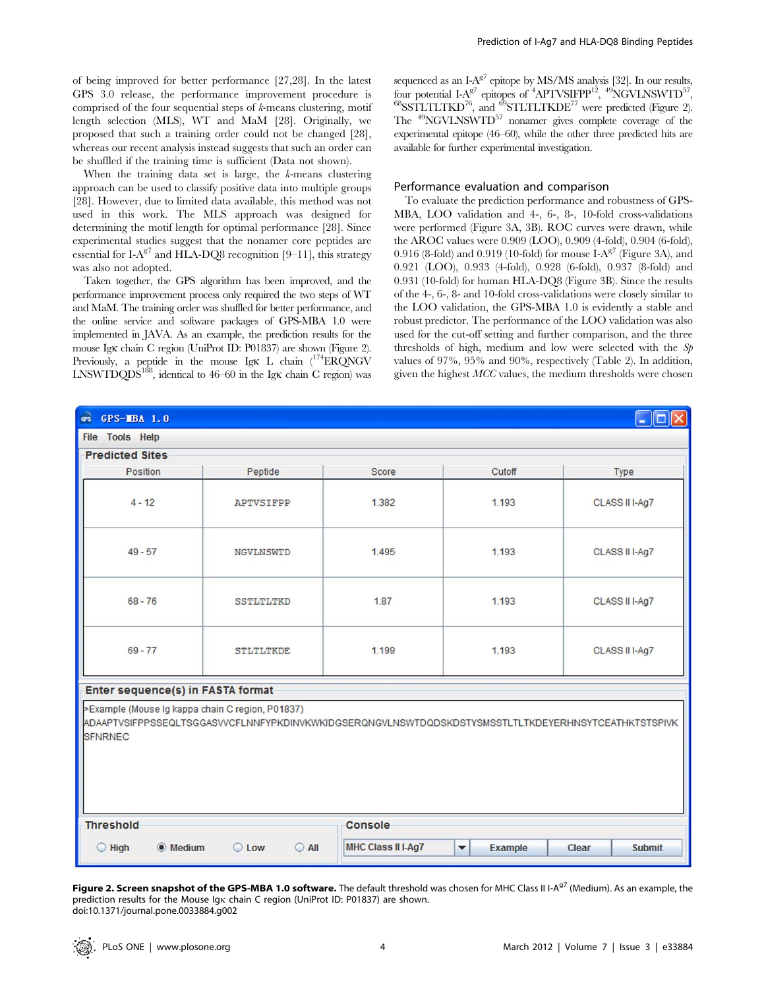of being improved for better performance [27,28]. In the latest GPS 3.0 release, the performance improvement procedure is comprised of the four sequential steps of  $k$ -means clustering, motif length selection (MLS), WT and MaM [28]. Originally, we proposed that such a training order could not be changed [28], whereas our recent analysis instead suggests that such an order can be shuffled if the training time is sufficient (Data not shown).

When the training data set is large, the k-means clustering approach can be used to classify positive data into multiple groups [28]. However, due to limited data available, this method was not used in this work. The MLS approach was designed for determining the motif length for optimal performance [28]. Since experimental studies suggest that the nonamer core peptides are essential for I-A<sup>g7</sup> and HLA-DO8 recognition [9–11], this strategy was also not adopted.

Taken together, the GPS algorithm has been improved, and the performance improvement process only required the two steps of WT and MaM. The training order was shuffled for better performance, and the online service and software packages of GPS-MBA 1.0 were implemented in JAVA. As an example, the prediction results for the mouse Igk chain C region (UniProt ID: P01837) are shown (Figure 2). Previously, a peptide in the mouse Igk L chain  $(^{174}ER\overline{Q}NGV)$ LNSWTDQDS<sup>188</sup>, identical to 46–60 in the Igk chain C region) was

sequenced as an  $I-A^{g7}$  epitope by MS/MS analysis [32]. In our results, four potential  $I-A^{g7}$  epitopes of  ${}^{4}APTVSIFPP^{12}$ ,  ${}^{49}NGVLNSWTD^{57}$ ,  $^{68}$ SSTLTLTKD<sup>76</sup>, and  $^{69}$ STLTLTKDE<sup>77</sup> were predicted (Figure 2). The 49NGVLNSWTD57 nonamer gives complete coverage of the experimental epitope (46–60), while the other three predicted hits are available for further experimental investigation.

#### Performance evaluation and comparison

To evaluate the prediction performance and robustness of GPS-MBA, LOO validation and 4-, 6-, 8-, 10-fold cross-validations were performed (Figure 3A, 3B). ROC curves were drawn, while the AROC values were 0.909 (LOO), 0.909 (4-fold), 0.904 (6-fold), 0.916 (8-fold) and 0.919 (10-fold) for mouse I-A<sup>g7</sup> (Figure 3A), and 0.921 (LOO), 0.933 (4-fold), 0.928 (6-fold), 0.937 (8-fold) and 0.931 (10-fold) for human HLA-DQ8 (Figure 3B). Since the results of the 4-, 6-, 8- and 10-fold cross-validations were closely similar to the LOO validation, the GPS-MBA 1.0 is evidently a stable and robust predictor. The performance of the LOO validation was also used for the cut-off setting and further comparison, and the three thresholds of high, medium and low were selected with the Sp values of 97%, 95% and 90%, respectively (Table 2). In addition, given the highest MCC values, the medium thresholds were chosen

| æs<br>$GPS-MBA$ 1.0<br>$-  D  \times$                                                                                                                                     |                                   |                           |                                        |                        |  |  |  |  |  |
|---------------------------------------------------------------------------------------------------------------------------------------------------------------------------|-----------------------------------|---------------------------|----------------------------------------|------------------------|--|--|--|--|--|
| File Tools Help                                                                                                                                                           |                                   |                           |                                        |                        |  |  |  |  |  |
| <b>Predicted Sites</b>                                                                                                                                                    |                                   |                           |                                        |                        |  |  |  |  |  |
| Position                                                                                                                                                                  | Peptide                           | Score                     | Cutoff                                 | Type                   |  |  |  |  |  |
| $4 - 12$                                                                                                                                                                  | APTVSIFPP                         | 1.382                     | 1.193                                  | CLASS II I-Ag7         |  |  |  |  |  |
| $49 - 57$                                                                                                                                                                 | NGVLNSWTD                         | 1.495                     | 1.193                                  | CLASS II I-Ag7         |  |  |  |  |  |
| $68 - 76$                                                                                                                                                                 | <b>SSTLTLTKD</b>                  | 1.87                      | 1.193                                  | CLASS II I-Ag7         |  |  |  |  |  |
| $69 - 77$                                                                                                                                                                 | <b>STLTLTKDE</b>                  | 1.199                     | 1.193                                  | CLASS II I-Ag7         |  |  |  |  |  |
|                                                                                                                                                                           | Enter sequence(s) in FASTA format |                           |                                        |                        |  |  |  |  |  |
| >Example (Mouse Ig kappa chain C region, P01837)<br>ADAAPTVSIFPPSSEQLTSGGASVVCFLNNFYPKDINVKWKIDGSERQNGVLNSWTDQDSKDSTYSMSSTLTLTKDEYERHNSYTCEATHKTSTSPIVK<br><b>SFNRNEC</b> |                                   |                           |                                        |                        |  |  |  |  |  |
| <b>Threshold</b>                                                                                                                                                          |                                   | Console                   |                                        |                        |  |  |  |  |  |
| <b>Medium</b><br>$O$ High                                                                                                                                                 | $\bigcirc$ All<br>$\circ$<br>Low  | <b>MHC Class II I-Ag7</b> | <b>Example</b><br>$\blacktriangledown$ | Clear<br><b>Submit</b> |  |  |  |  |  |

Figure 2. Screen snapshot of the GPS-MBA 1.0 software. The default threshold was chosen for MHC Class II I-A<sup>g7</sup> (Medium). As an example, the prediction results for the Mouse Igk chain C region (UniProt ID: P01837) are shown. doi:10.1371/journal.pone.0033884.g002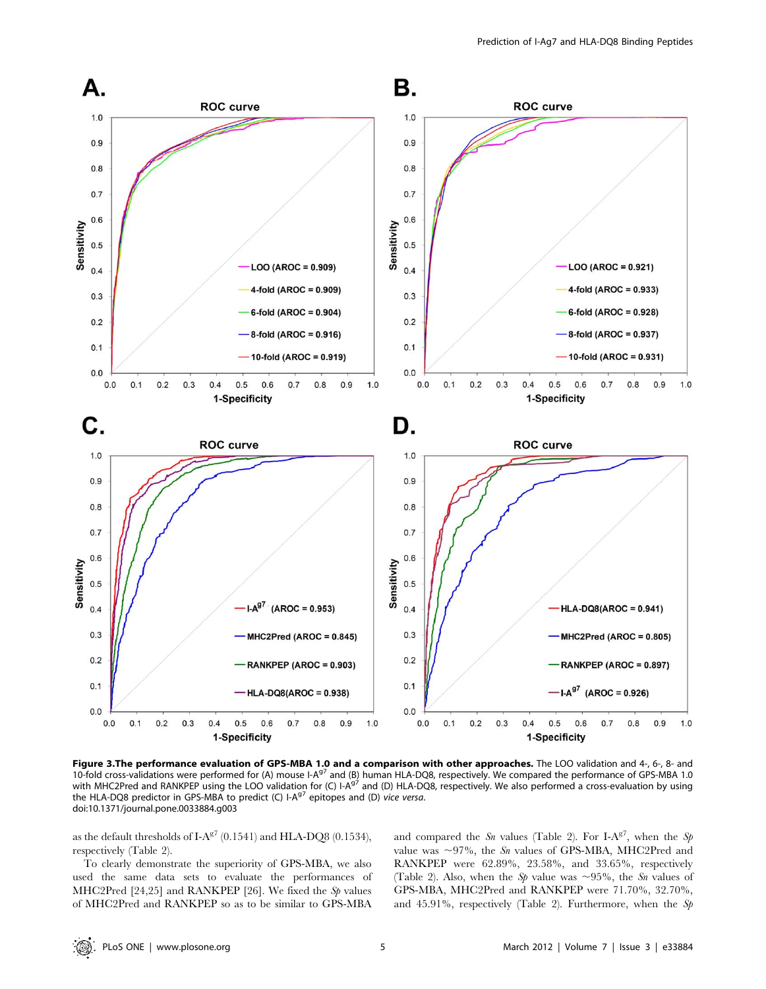

Figure 3.The performance evaluation of GPS-MBA 1.0 and a comparison with other approaches. The LOO validation and 4-, 6-, 8- and 10-fold cross-validations were performed for (A) mouse I-A<sup>g7</sup> and (B) human HLA-DQ8, respectively. We compared the performance of GPS-MBA 1.0 with MHC2Pred and RANKPEP using the LOO validation for (C)  $I-A^{97}$  and (D) HLA-DQ8, respectively. We also performed a cross-evaluation by using the HLA-DQ8 predictor in GPS-MBA to predict (C)  $I-A<sup>g7</sup>$  epitopes and (D) vice versa. doi:10.1371/journal.pone.0033884.g003

as the default thresholds of I-A $^{g7}$  (0.1541) and HLA-DQ8 (0.1534), respectively (Table 2).

To clearly demonstrate the superiority of GPS-MBA, we also used the same data sets to evaluate the performances of MHC2Pred [24,25] and RANKPEP [26]. We fixed the  $Sp$  values of MHC2Pred and RANKPEP so as to be similar to GPS-MBA and compared the S<sub>n</sub> values (Table 2). For I-A<sup>g7</sup>, when the S<sub>p</sub> value was  $\sim$ 97%, the Sn values of GPS-MBA, MHC2Pred and RANKPEP were 62.89%, 23.58%, and 33.65%, respectively (Table 2). Also, when the Sp value was  $\sim 95\%$ , the Sn values of GPS-MBA, MHC2Pred and RANKPEP were 71.70%, 32.70%, and 45.91%, respectively (Table 2). Furthermore, when the  $Sp$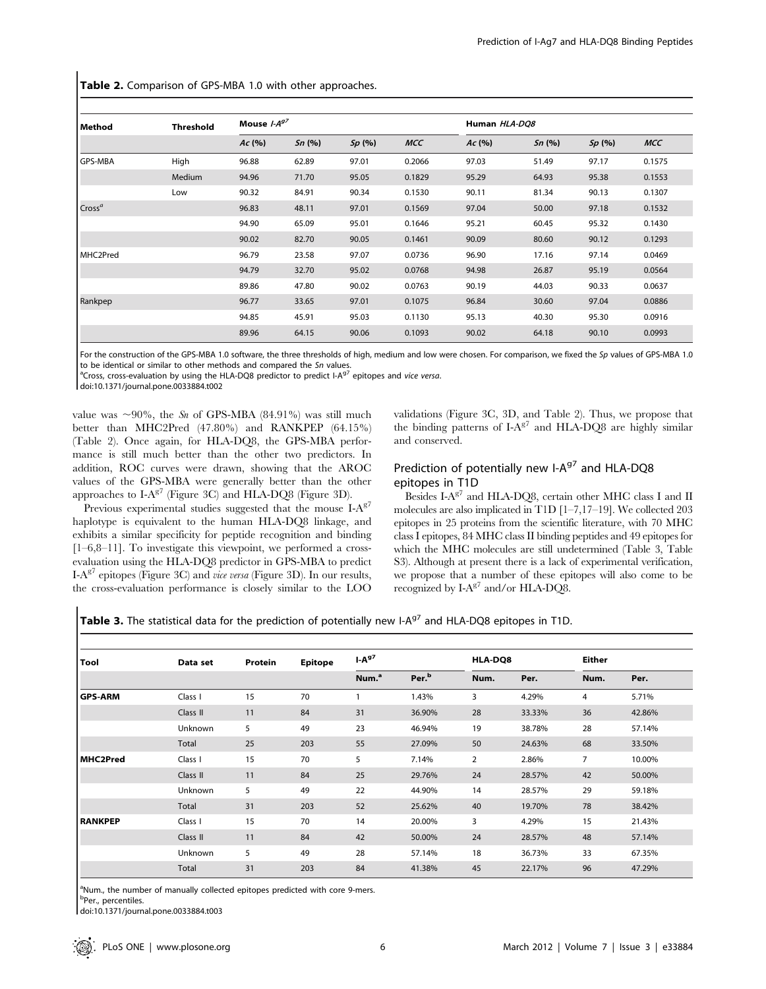Table 2. Comparison of GPS-MBA 1.0 with other approaches.

| Method             | <b>Threshold</b> | Mouse $I-A^{g7}$ |       |        |            | Human HLA-DQ8 |       |        |            |
|--------------------|------------------|------------------|-------|--------|------------|---------------|-------|--------|------------|
|                    |                  | Ac(%             | Sn(%) | Sp(96) | <b>MCC</b> | Ac(%          | Sn(%) | Sp(96) | <b>MCC</b> |
| <b>GPS-MBA</b>     | High             | 96.88            | 62.89 | 97.01  | 0.2066     | 97.03         | 51.49 | 97.17  | 0.1575     |
|                    | Medium           | 94.96            | 71.70 | 95.05  | 0.1829     | 95.29         | 64.93 | 95.38  | 0.1553     |
|                    | Low              | 90.32            | 84.91 | 90.34  | 0.1530     | 90.11         | 81.34 | 90.13  | 0.1307     |
| $\mathsf{Cross}^a$ |                  | 96.83            | 48.11 | 97.01  | 0.1569     | 97.04         | 50.00 | 97.18  | 0.1532     |
|                    |                  | 94.90            | 65.09 | 95.01  | 0.1646     | 95.21         | 60.45 | 95.32  | 0.1430     |
|                    |                  | 90.02            | 82.70 | 90.05  | 0.1461     | 90.09         | 80.60 | 90.12  | 0.1293     |
| MHC2Pred           |                  | 96.79            | 23.58 | 97.07  | 0.0736     | 96.90         | 17.16 | 97.14  | 0.0469     |
|                    |                  | 94.79            | 32.70 | 95.02  | 0.0768     | 94.98         | 26.87 | 95.19  | 0.0564     |
|                    |                  | 89.86            | 47.80 | 90.02  | 0.0763     | 90.19         | 44.03 | 90.33  | 0.0637     |
| Rankpep            |                  | 96.77            | 33.65 | 97.01  | 0.1075     | 96.84         | 30.60 | 97.04  | 0.0886     |
|                    |                  | 94.85            | 45.91 | 95.03  | 0.1130     | 95.13         | 40.30 | 95.30  | 0.0916     |
|                    |                  | 89.96            | 64.15 | 90.06  | 0.1093     | 90.02         | 64.18 | 90.10  | 0.0993     |

For the construction of the GPS-MBA 1.0 software, the three thresholds of high, medium and low were chosen. For comparison, we fixed the Sp values of GPS-MBA 1.0 to be identical or similar to other methods and compared the Sn values.

 $^{\text{a}}$ Cross, cross-evaluation by using the HLA-DQ8 predictor to predict I-A $^{\text{g}}$ 7 epitopes and vice versa.

doi:10.1371/journal.pone.0033884.t002

value was  $\sim 90\%$ , the Sn of GPS-MBA (84.91%) was still much better than MHC2Pred (47.80%) and RANKPEP (64.15%) (Table 2). Once again, for HLA-DQ8, the GPS-MBA performance is still much better than the other two predictors. In addition, ROC curves were drawn, showing that the AROC values of the GPS-MBA were generally better than the other approaches to  $I-A^{g7}$  (Figure 3C) and HLA-DO8 (Figure 3D).

Previous experimental studies suggested that the mouse  $I-A^{g7}$ haplotype is equivalent to the human HLA-DQ8 linkage, and exhibits a similar specificity for peptide recognition and binding [1–6,8–11]. To investigate this viewpoint, we performed a crossevaluation using the HLA-DQ8 predictor in GPS-MBA to predict I-A<sup>g7</sup> epitopes (Figure 3C) and *vice versa* (Figure 3D). In our results, the cross-evaluation performance is closely similar to the LOO validations (Figure 3C, 3D, and Table 2). Thus, we propose that the binding patterns of  $I-A^{g7}$  and  $HLA-DQ8$  are highly similar and conserved.

## Prediction of potentially new I- $A^{g7}$  and HLA-DQ8 epitopes in T1D

Besides I-A $^{g7}$  and HLA-DQ8, certain other MHC class I and II molecules are also implicated in T1D [1–7,17–19]. We collected 203 epitopes in 25 proteins from the scientific literature, with 70 MHC class I epitopes, 84 MHC class II binding peptides and 49 epitopes for which the MHC molecules are still undetermined (Table 3, Table S3). Although at present there is a lack of experimental verification, we propose that a number of these epitopes will also come to be recognized by  $I-A^{g7}$  and/or HLA-DO8.

Table 3. The statistical data for the prediction of potentially new I-A<sup>g7</sup> and HLA-DQ8 epitopes in T1D.

| Tool           | Data set     | Protein | <b>Epitope</b> | $I-Ag7$           |                   | <b>HLA-DO8</b> |        | <b>Either</b>  |        |
|----------------|--------------|---------|----------------|-------------------|-------------------|----------------|--------|----------------|--------|
|                |              |         |                | Num. <sup>a</sup> | Per. <sup>b</sup> | Num.           | Per.   | Num.           | Per.   |
| <b>GPS-ARM</b> | Class I      | 15      | 70             |                   | 1.43%             | 3              | 4.29%  | 4              | 5.71%  |
|                | Class II     | 11      | 84             | 31                | 36.90%            | 28             | 33.33% | 36             | 42.86% |
|                | Unknown      | 5       | 49             | 23                | 46.94%            | 19             | 38.78% | 28             | 57.14% |
|                | <b>Total</b> | 25      | 203            | 55                | 27.09%            | 50             | 24.63% | 68             | 33.50% |
| MHC2Pred       | Class I      | 15      | 70             | 5                 | 7.14%             | $\overline{2}$ | 2.86%  | $\overline{7}$ | 10.00% |
|                | Class II     | 11      | 84             | 25                | 29.76%            | 24             | 28.57% | 42             | 50.00% |
|                | Unknown      | 5       | 49             | 22                | 44.90%            | 14             | 28.57% | 29             | 59.18% |
|                | Total        | 31      | 203            | 52                | 25.62%            | 40             | 19.70% | 78             | 38.42% |
| <b>RANKPEP</b> | Class I      | 15      | 70             | 14                | 20.00%            | 3              | 4.29%  | 15             | 21.43% |
|                | Class II     | 11      | 84             | 42                | 50.00%            | 24             | 28.57% | 48             | 57.14% |
|                | Unknown      | 5       | 49             | 28                | 57.14%            | 18             | 36.73% | 33             | 67.35% |
|                | Total        | 31      | 203            | 84                | 41.38%            | 45             | 22.17% | 96             | 47.29% |

<sup>a</sup>Num., the number of manually collected epitopes predicted with core 9-mers.

<sup>b</sup>Per., percentiles.

doi:10.1371/journal.pone.0033884.t003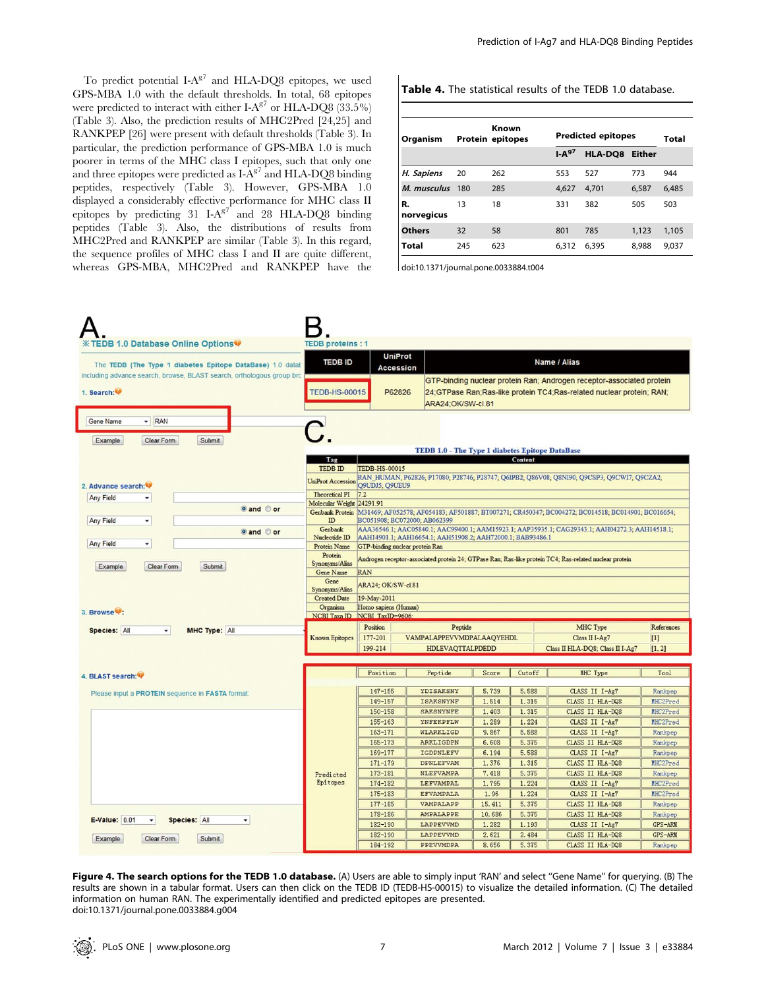To predict potential  $I-A^{g7}$  and HLA-DQ8 epitopes, we used GPS-MBA 1.0 with the default thresholds. In total, 68 epitopes were predicted to interact with either  $I-A^{g7}$  or HLA-DO8 (33.5%) (Table 3). Also, the prediction results of MHC2Pred [24,25] and RANKPEP [26] were present with default thresholds (Table 3). In particular, the prediction performance of GPS-MBA 1.0 is much poorer in terms of the MHC class I epitopes, such that only one and three epitopes were predicted as  $I-A^{g7}$  and HLA-DQ8 binding peptides, respectively (Table 3). However, GPS-MBA 1.0 displayed a considerably effective performance for MHC class II epitopes by predicting  $31$  I-A<sup>g7</sup> and  $28$  HLA-DO8 binding peptides (Table 3). Also, the distributions of results from MHC2Pred and RANKPEP are similar (Table 3). In this regard, the sequence profiles of MHC class I and II are quite different, whereas GPS-MBA, MHC2Pred and RANKPEP have the

Table 4. The statistical results of the TEDB 1.0 database.

| Organism         | Known<br>Protein epitopes |     | <b>Predicted epitopes</b> | Total          |       |       |
|------------------|---------------------------|-----|---------------------------|----------------|-------|-------|
|                  |                           |     | IA <sup>97</sup>          | HLA-DQ8 Either |       |       |
| H. Sapiens       | 20                        | 262 | 553                       | 527            | 773   | 944   |
| M. musculus      | 180                       | 285 | 4.627                     | 4.701          | 6,587 | 6,485 |
| R.<br>norvegicus | 13                        | 18  | 331                       | 382            | 505   | 503   |
| Others           | 32                        | 58  | 801                       | 785            | 1,123 | 1,105 |
| Total            | 245                       | 623 | 6.312                     | 6,395          | 8,988 | 9,037 |

doi:10.1371/journal.pone.0033884.t004



Figure 4. The search options for the TEDB 1.0 database. (A) Users are able to simply input 'RAN' and select "Gene Name" for querying. (B) The results are shown in a tabular format. Users can then click on the TEDB ID (TEDB-HS-00015) to visualize the detailed information. (C) The detailed information on human RAN. The experimentally identified and predicted epitopes are presented. doi:10.1371/journal.pone.0033884.g004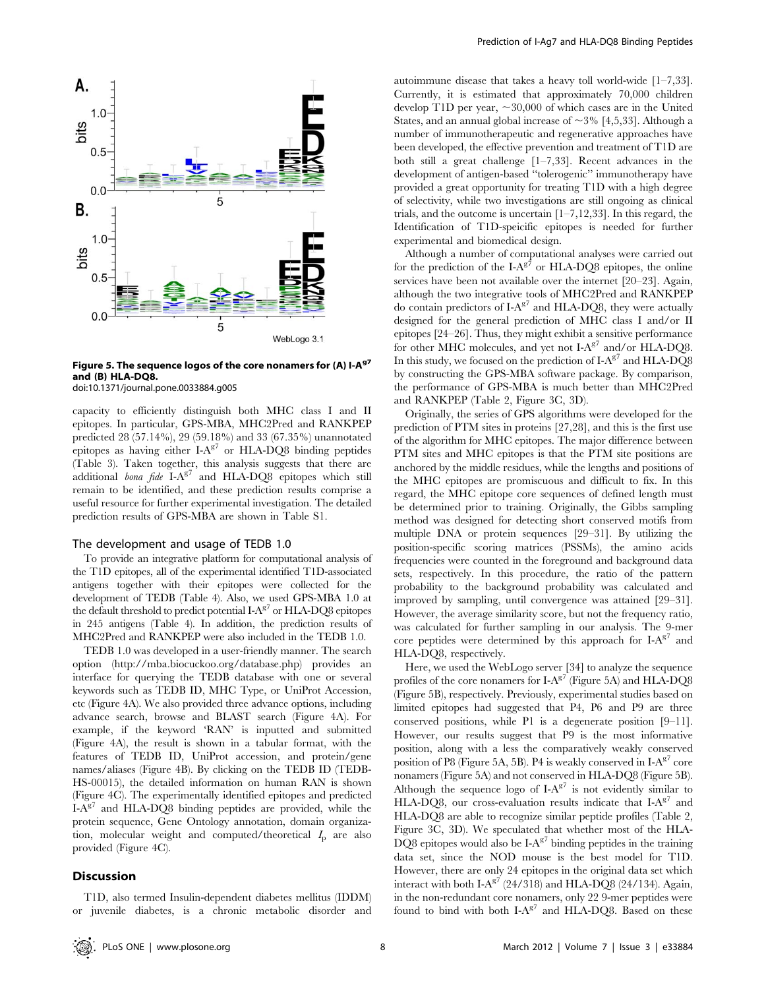

Figure 5. The sequence logos of the core nonamers for (A) I-A $97$ and (B) HLA-DQ8.

doi:10.1371/journal.pone.0033884.g005

capacity to efficiently distinguish both MHC class I and II epitopes. In particular, GPS-MBA, MHC2Pred and RANKPEP predicted 28 (57.14%), 29 (59.18%) and 33 (67.35%) unannotated epitopes as having either  $I-A^{g7}$  or HLA-DQ8 binding peptides (Table 3). Taken together, this analysis suggests that there are additional *bona fide*  $I-A^{g7}$  and  $HLA-DQ8$  epitopes which still remain to be identified, and these prediction results comprise a useful resource for further experimental investigation. The detailed prediction results of GPS-MBA are shown in Table S1.

## The development and usage of TEDB 1.0

To provide an integrative platform for computational analysis of the T1D epitopes, all of the experimental identified T1D-associated antigens together with their epitopes were collected for the development of TEDB (Table 4). Also, we used GPS-MBA 1.0 at the default threshold to predict potential  $I-A^{g7}$  or  $HLA-DQ8$  epitopes in 245 antigens (Table 4). In addition, the prediction results of MHC2Pred and RANKPEP were also included in the TEDB 1.0.

TEDB 1.0 was developed in a user-friendly manner. The search option (http://mba.biocuckoo.org/database.php) provides an interface for querying the TEDB database with one or several keywords such as TEDB ID, MHC Type, or UniProt Accession, etc (Figure 4A). We also provided three advance options, including advance search, browse and BLAST search (Figure 4A). For example, if the keyword 'RAN' is inputted and submitted (Figure 4A), the result is shown in a tabular format, with the features of TEDB ID, UniProt accession, and protein/gene names/aliases (Figure 4B). By clicking on the TEDB ID (TEDB-HS-00015), the detailed information on human RAN is shown (Figure 4C). The experimentally identified epitopes and predicted  $I-A^{g7}$  and HLA-DQ8 binding peptides are provided, while the protein sequence, Gene Ontology annotation, domain organization, molecular weight and computed/theoretical  $I<sub>p</sub>$  are also provided (Figure 4C).

## **Discussion**

T1D, also termed Insulin-dependent diabetes mellitus (IDDM) or juvenile diabetes, is a chronic metabolic disorder and autoimmune disease that takes a heavy toll world-wide [1–7,33]. Currently, it is estimated that approximately 70,000 children develop T1D per year,  $\sim 30,000$  of which cases are in the United States, and an annual global increase of  $\sim$  3% [4,5,33]. Although a number of immunotherapeutic and regenerative approaches have been developed, the effective prevention and treatment of T1D are both still a great challenge [1–7,33]. Recent advances in the development of antigen-based ''tolerogenic'' immunotherapy have provided a great opportunity for treating T1D with a high degree of selectivity, while two investigations are still ongoing as clinical trials, and the outcome is uncertain [1–7,12,33]. In this regard, the Identification of T1D-speicific epitopes is needed for further experimental and biomedical design.

Although a number of computational analyses were carried out for the prediction of the I- $A^{g7}$  or HLA-DQ8 epitopes, the online services have been not available over the internet [20–23]. Again, although the two integrative tools of MHC2Pred and RANKPEP do contain predictors of  $I-A^{g7}$  and  $HLA-DQB$ , they were actually designed for the general prediction of MHC class I and/or II epitopes [24–26]. Thus, they might exhibit a sensitive performance for other MHC molecules, and yet not  $I-A^{g7}$  and/or HLA-DQ8. In this study, we focused on the prediction of I-A $^{g7}$  and HLA-DO8 by constructing the GPS-MBA software package. By comparison, the performance of GPS-MBA is much better than MHC2Pred and RANKPEP (Table 2, Figure 3C, 3D).

Originally, the series of GPS algorithms were developed for the prediction of PTM sites in proteins [27,28], and this is the first use of the algorithm for MHC epitopes. The major difference between PTM sites and MHC epitopes is that the PTM site positions are anchored by the middle residues, while the lengths and positions of the MHC epitopes are promiscuous and difficult to fix. In this regard, the MHC epitope core sequences of defined length must be determined prior to training. Originally, the Gibbs sampling method was designed for detecting short conserved motifs from multiple DNA or protein sequences [29–31]. By utilizing the position-specific scoring matrices (PSSMs), the amino acids frequencies were counted in the foreground and background data sets, respectively. In this procedure, the ratio of the pattern probability to the background probability was calculated and improved by sampling, until convergence was attained [29–31]. However, the average similarity score, but not the frequency ratio, was calculated for further sampling in our analysis. The 9-mer core peptides were determined by this approach for  $I-A^{g7}$  and HLA-DQ8, respectively.

Here, we used the WebLogo server [34] to analyze the sequence profiles of the core nonamers for  $I-A^{g7}$  (Figure 5A) and HLA-DQ8 (Figure 5B), respectively. Previously, experimental studies based on limited epitopes had suggested that P4, P6 and P9 are three conserved positions, while P1 is a degenerate position [9–11]. However, our results suggest that P9 is the most informative position, along with a less the comparatively weakly conserved position of P8 (Figure 5A, 5B). P4 is weakly conserved in  $I-A^{g7}$  core nonamers (Figure 5A) and not conserved in HLA-DQ8 (Figure 5B). Although the sequence logo of  $I-A^{g7}$  is not evidently similar to HLA-DQ8, our cross-evaluation results indicate that  $I-A^{g7}$  and HLA-DQ8 are able to recognize similar peptide profiles (Table 2, Figure 3C, 3D). We speculated that whether most of the HLA-DQ8 epitopes would also be  $I-A^{g7}$  binding peptides in the training data set, since the NOD mouse is the best model for T1D. However, there are only 24 epitopes in the original data set which interact with both I-A $^{g7}$  (24/318) and HLA-DQ8 (24/134). Again, in the non-redundant core nonamers, only 22 9-mer peptides were found to bind with both  $I-A^{g7}$  and HLA-DQ8. Based on these